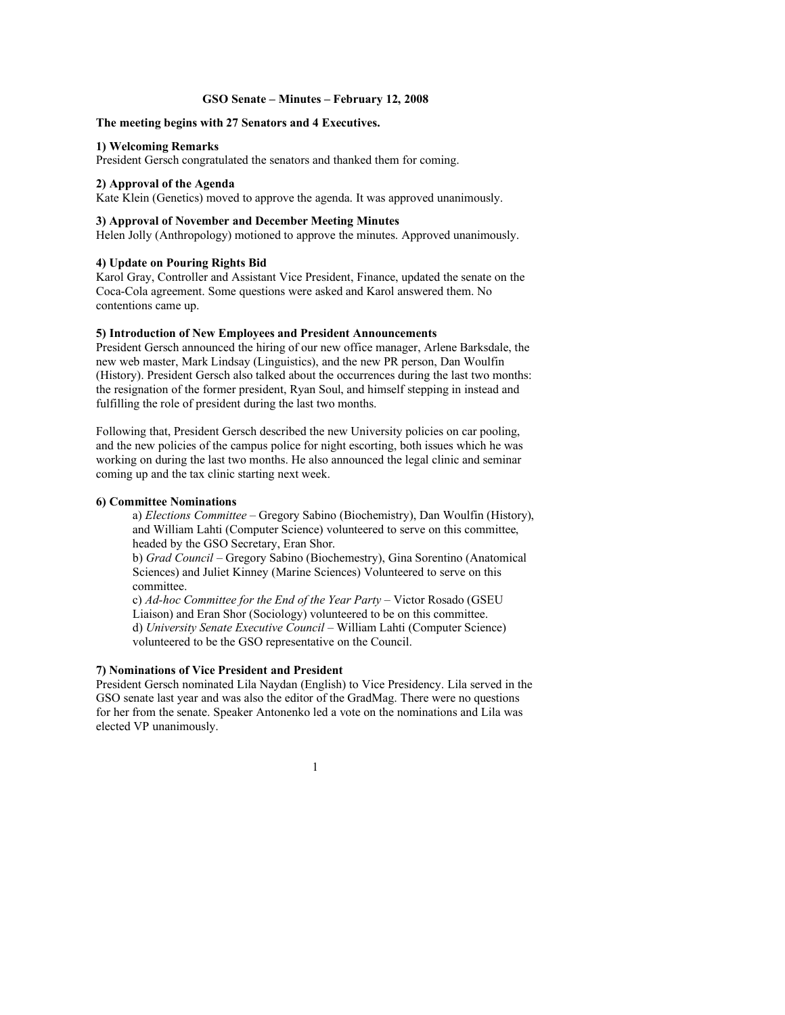#### **GSO Senate – Minutes – February 12, 2008**

## **The meeting begins with 27 Senators and 4 Executives.**

## **1) Welcoming Remarks**

President Gersch congratulated the senators and thanked them for coming.

## **2) Approval of the Agenda**

Kate Klein (Genetics) moved to approve the agenda. It was approved unanimously.

## **3) Approval of November and December Meeting Minutes**

Helen Jolly (Anthropology) motioned to approve the minutes. Approved unanimously.

## **4) Update on Pouring Rights Bid**

Karol Gray, Controller and Assistant Vice President, Finance, updated the senate on the Coca-Cola agreement. Some questions were asked and Karol answered them. No contentions came up.

#### **5) Introduction of New Employees and President Announcements**

President Gersch announced the hiring of our new office manager, Arlene Barksdale, the new web master, Mark Lindsay (Linguistics), and the new PR person, Dan Woulfin (History). President Gersch also talked about the occurrences during the last two months: the resignation of the former president, Ryan Soul, and himself stepping in instead and fulfilling the role of president during the last two months.

Following that, President Gersch described the new University policies on car pooling, and the new policies of the campus police for night escorting, both issues which he was working on during the last two months. He also announced the legal clinic and seminar coming up and the tax clinic starting next week.

# **6) Committee Nominations**

a) *Elections Committee* – Gregory Sabino (Biochemistry), Dan Woulfin (History), and William Lahti (Computer Science) volunteered to serve on this committee, headed by the GSO Secretary, Eran Shor.

b) *Grad Council* – Gregory Sabino (Biochemestry), Gina Sorentino (Anatomical Sciences) and Juliet Kinney (Marine Sciences) Volunteered to serve on this committee.

c) *Ad-hoc Committee for the End of the Year Party* – Victor Rosado (GSEU Liaison) and Eran Shor (Sociology) volunteered to be on this committee. d) *University Senate Executive Council* – William Lahti (Computer Science) volunteered to be the GSO representative on the Council.

# **7) Nominations of Vice President and President**

President Gersch nominated Lila Naydan (English) to Vice Presidency. Lila served in the GSO senate last year and was also the editor of the GradMag. There were no questions for her from the senate. Speaker Antonenko led a vote on the nominations and Lila was elected VP unanimously.

1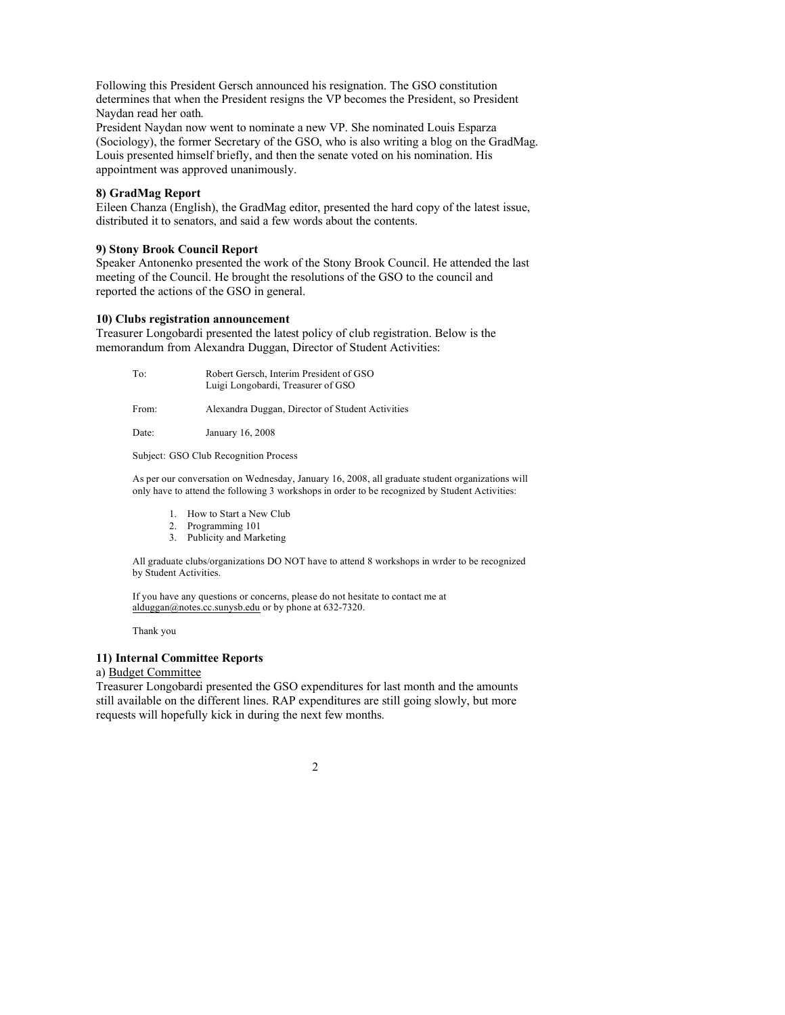Following this President Gersch announced his resignation. The GSO constitution determines that when the President resigns the VP becomes the President, so President Naydan read her oath.

President Naydan now went to nominate a new VP. She nominated Louis Esparza (Sociology), the former Secretary of the GSO, who is also writing a blog on the GradMag. Louis presented himself briefly, and then the senate voted on his nomination. His appointment was approved unanimously.

## **8) GradMag Report**

Eileen Chanza (English), the GradMag editor, presented the hard copy of the latest issue, distributed it to senators, and said a few words about the contents.

## **9) Stony Brook Council Report**

Speaker Antonenko presented the work of the Stony Brook Council. He attended the last meeting of the Council. He brought the resolutions of the GSO to the council and reported the actions of the GSO in general.

## **10) Clubs registration announcement**

Treasurer Longobardi presented the latest policy of club registration. Below is the memorandum from Alexandra Duggan, Director of Student Activities:

| To:   | Robert Gersch, Interim President of GSO<br>Luigi Longobardi, Treasurer of GSO |
|-------|-------------------------------------------------------------------------------|
| From: | Alexandra Duggan, Director of Student Activities                              |

Date: January 16, 2008

Subject: GSO Club Recognition Process

As per our conversation on Wednesday, January 16, 2008, all graduate student organizations will only have to attend the following 3 workshops in order to be recognized by Student Activities:

- 1. How to Start a New Club
- 2. Programming 101
- 3. Publicity and Marketing

All graduate clubs/organizations DO NOT have to attend 8 workshops in wrder to be recognized by Student Activities.

If you have any questions or concerns, please do not hesitate to contact me at alduggan@notes.cc.sunysb.edu or by phone at 632-7320.

Thank you

## **11) Internal Committee Reports**

#### a) Budget Committee

Treasurer Longobardi presented the GSO expenditures for last month and the amounts still available on the different lines. RAP expenditures are still going slowly, but more requests will hopefully kick in during the next few months.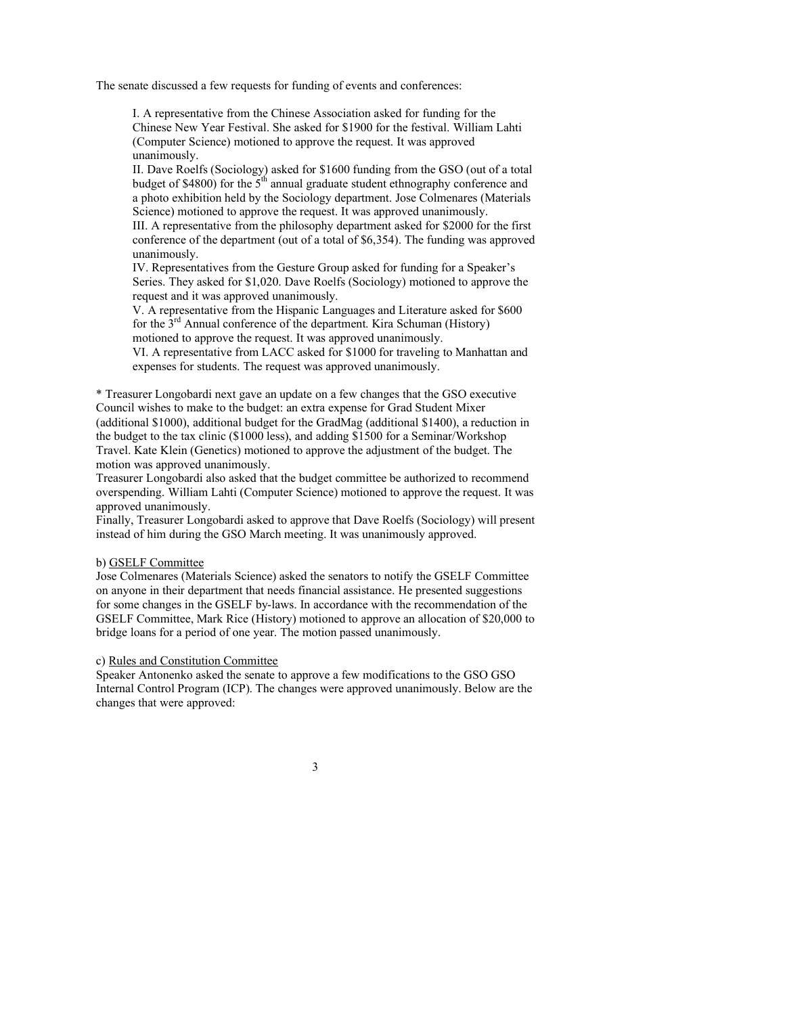The senate discussed a few requests for funding of events and conferences:

I. A representative from the Chinese Association asked for funding for the Chinese New Year Festival. She asked for \$1900 for the festival. William Lahti (Computer Science) motioned to approve the request. It was approved unanimously.

II. Dave Roelfs (Sociology) asked for \$1600 funding from the GSO (out of a total budget of \$4800) for the  $5<sup>th</sup>$  annual graduate student ethnography conference and a photo exhibition held by the Sociology department. Jose Colmenares (Materials Science) motioned to approve the request. It was approved unanimously.

III. A representative from the philosophy department asked for \$2000 for the first conference of the department (out of a total of \$6,354). The funding was approved unanimously.

IV. Representatives from the Gesture Group asked for funding for a Speaker's Series. They asked for \$1,020. Dave Roelfs (Sociology) motioned to approve the request and it was approved unanimously.

V. A representative from the Hispanic Languages and Literature asked for \$600 for the  $3<sup>rd</sup>$  Annual conference of the department. Kira Schuman (History) motioned to approve the request. It was approved unanimously.

VI. A representative from LACC asked for \$1000 for traveling to Manhattan and expenses for students. The request was approved unanimously.

\* Treasurer Longobardi next gave an update on a few changes that the GSO executive Council wishes to make to the budget: an extra expense for Grad Student Mixer (additional \$1000), additional budget for the GradMag (additional \$1400), a reduction in the budget to the tax clinic (\$1000 less), and adding \$1500 for a Seminar/Workshop Travel. Kate Klein (Genetics) motioned to approve the adjustment of the budget. The motion was approved unanimously.

Treasurer Longobardi also asked that the budget committee be authorized to recommend overspending. William Lahti (Computer Science) motioned to approve the request. It was approved unanimously.

Finally, Treasurer Longobardi asked to approve that Dave Roelfs (Sociology) will present instead of him during the GSO March meeting. It was unanimously approved.

#### b) GSELF Committee

Jose Colmenares (Materials Science) asked the senators to notify the GSELF Committee on anyone in their department that needs financial assistance. He presented suggestions for some changes in the GSELF by-laws. In accordance with the recommendation of the GSELF Committee, Mark Rice (History) motioned to approve an allocation of \$20,000 to bridge loans for a period of one year. The motion passed unanimously.

#### c) Rules and Constitution Committee

Speaker Antonenko asked the senate to approve a few modifications to the GSO GSO Internal Control Program (ICP). The changes were approved unanimously. Below are the changes that were approved: